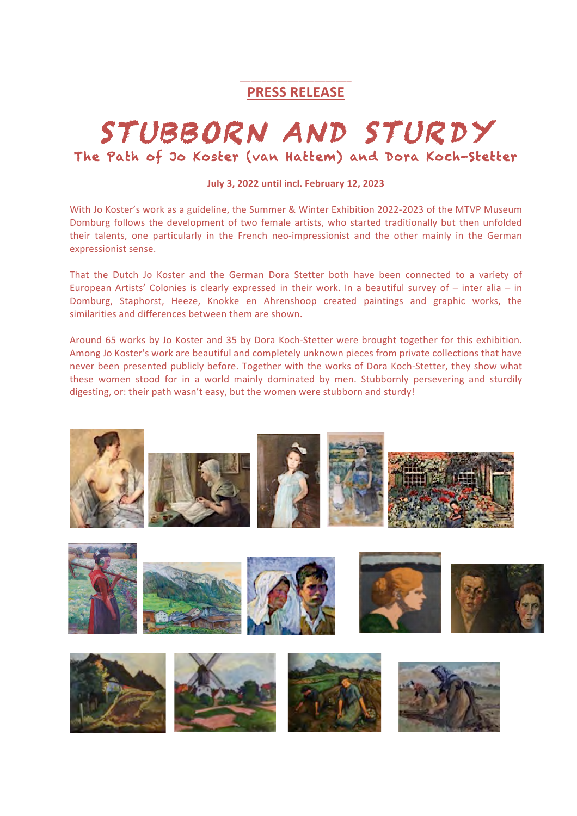# \_\_\_\_\_\_\_\_\_\_\_\_\_\_\_\_\_\_\_\_\_ **PRESS RELEASE**

# STUBBORN AND STURDY<br>The Path of Jo Koster (van Hattem) and Dora Koch-Stetter

#### **July 3, 2022 until incl. February 12, 2023**

With Jo Koster's work as a guideline, the Summer & Winter Exhibition 2022-2023 of the MTVP Museum Domburg follows the development of two female artists, who started traditionally but then unfolded their talents, one particularly in the French neo-impressionist and the other mainly in the German expressionist sense.

That the Dutch Jo Koster and the German Dora Stetter both have been connected to a variety of European Artists' Colonies is clearly expressed in their work. In a beautiful survey of  $-$  inter alia  $-$  in Domburg, Staphorst, Heeze, Knokke en Ahrenshoop created paintings and graphic works, the similarities and differences between them are shown.

Around 65 works by Jo Koster and 35 by Dora Koch-Stetter were brought together for this exhibition. Among Jo Koster's work are beautiful and completely unknown pieces from private collections that have never been presented publicly before. Together with the works of Dora Koch-Stetter, they show what these women stood for in a world mainly dominated by men. Stubbornly persevering and sturdily digesting, or: their path wasn't easy, but the women were stubborn and sturdy!